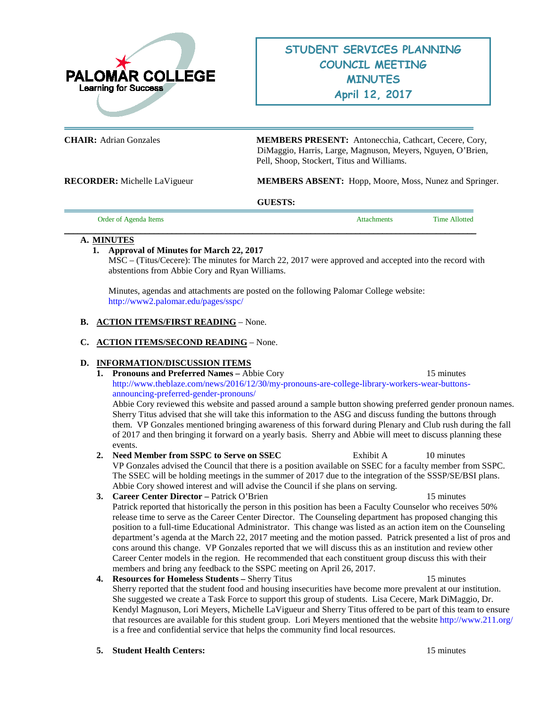

**CHAIR:** Adrian Gonzales **MEMBERS PRESENT:** Antonecchia, Cathcart, Cecere, Cory, DiMaggio, Harris, Large, Magnuson, Meyers, Nguyen, O'Brien, Pell, Shoop, Stockert, Titus and Williams.

**RECORDER:** Michelle LaVigueur **MEMBERS ABSENT:** Hopp, Moore, Moss, Nunez and Springer.

#### **GUESTS:**

**\_\_\_\_\_\_\_\_\_\_\_\_\_\_\_\_\_\_\_\_\_\_\_\_\_\_\_\_\_\_\_\_\_\_\_\_\_\_\_\_\_\_\_\_\_\_\_\_\_\_\_\_\_\_\_\_\_\_\_\_\_\_\_\_\_\_\_\_\_\_\_\_\_\_\_\_\_\_\_\_\_\_\_\_\_\_\_\_\_\_\_\_**

| <b>Order of Agenda Items</b><br>Time Allotted<br><b>Attachments</b> |
|---------------------------------------------------------------------|
|---------------------------------------------------------------------|

#### **A. MINUTES**

# **1. Approval of Minutes for March 22, 2017**

MSC – (Titus/Cecere): The minutes for March 22, 2017 were approved and accepted into the record with abstentions from Abbie Cory and Ryan Williams.

Minutes, agendas and attachments are posted on the following Palomar College website: <http://www2.palomar.edu/pages/sspc/>

# **B. ACTION ITEMS/FIRST READING** – None.

#### **C. ACTION ITEMS/SECOND READING** – None.

#### **D. INFORMATION/DISCUSSION ITEMS**

**1. Pronouns and Preferred Names –** Abbie Cory 15 minutes [http://www.theblaze.com/news/2016/12/30/my-pronouns-are-college-library-workers-wear-buttons](http://www.theblaze.com/news/2016/12/30/my-pronouns-are-college-library-workers-wear-buttons-announcing-preferred-gender-pronouns/)[announcing-preferred-gender-pronouns/](http://www.theblaze.com/news/2016/12/30/my-pronouns-are-college-library-workers-wear-buttons-announcing-preferred-gender-pronouns/)

Abbie Cory reviewed this website and passed around a sample button showing preferred gender pronoun names. Sherry Titus advised that she will take this information to the ASG and discuss funding the buttons through them. VP Gonzales mentioned bringing awareness of this forward during Plenary and Club rush during the fall of 2017 and then bringing it forward on a yearly basis. Sherry and Abbie will meet to discuss planning these events.

- **2. Need Member from SSPC to Serve on SSEC** Exhibit A 10 minutes VP Gonzales advised the Council that there is a position available on SSEC for a faculty member from SSPC. The SSEC will be holding meetings in the summer of 2017 due to the integration of the SSSP/SE/BSI plans. Abbie Cory showed interest and will advise the Council if she plans on serving.
- **3. Career Center Director –** Patrick O'Brien15 minutes Patrick reported that historically the person in this position has been a Faculty Counselor who receives 50% release time to serve as the Career Center Director. The Counseling department has proposed changing this position to a full-time Educational Administrator. This change was listed as an action item on the Counseling department's agenda at the March 22, 2017 meeting and the motion passed. Patrick presented a list of pros and cons around this change. VP Gonzales reported that we will discuss this as an institution and review other Career Center models in the region. He recommended that each constituent group discuss this with their members and bring any feedback to the SSPC meeting on April 26, 2017.
- **4. Resources for Homeless Students –** Sherry Titus 15 minutes Sherry reported that the student food and housing insecurities have become more prevalent at our institution. She suggested we create a Task Force to support this group of students. Lisa Cecere, Mark DiMaggio, Dr. Kendyl Magnuson, Lori Meyers, Michelle LaVigueur and Sherry Titus offered to be part of this team to ensure that resources are available for this student group. Lori Meyers mentioned that the websit[e http://www.211.org/](http://www.211.org/) is a free and confidential service that helps the community find local resources.
- **5. Student Health Centers:** 15 minutes